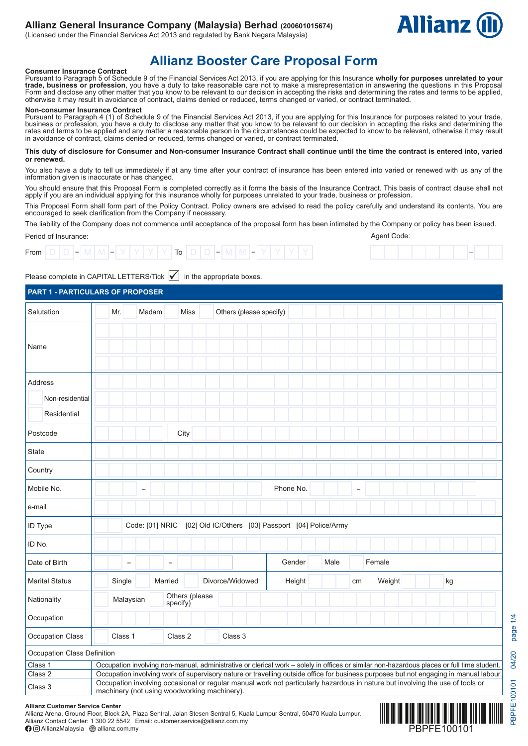## **Allianz General Insurance Company (Malaysia) Berhad (200601015674)**

(Licensed under the Financial Services Act 2013 and regulated by Bank Negara Malaysia)



# **Allianz Booster Care Proposal Form**

**Consumer Insurance Contract** Pursuant to Paragraph 5 of Schedule 9 of the Financial Services Act 2013, if you are applying for this Insurance **wholly for purposes unrelated to your trade, business or profession**, you have a duty to take reasonable care not to make a misrepresentation in answering the questions in this Proposal<br>Form and disclose any other matter that you know to be relevant to our de otherwise it may result in avoidance of contract, claims denied or reduced, terms changed or varied, or contract terminated.

#### **Non-consumer Insurance Contract**

Pursuant to Paragraph 4 (1) of Schedule 9 of the Financial Services Act 2013, if you are applying for this Insurance for purposes related to your trade, business or profession, you have a duty to disclose any matter that you know to be relevant to our decision in accepting the risks and determining the rates and terms to be applied and any matter a reasonable person in the circumstances could be expected to know to be relevant, otherwise it may result in avoidance of contract, claims denied or reduced, terms changed or varied, or contract terminated.

**This duty of disclosure for Consumer and Non-consumer Insurance Contract shall continue until the time the contract is entered into, varied or renewed.** 

You also have a duty to tell us immediately if at any time after your contract of insurance has been entered into varied or renewed with us any of the information given is inaccurate or has changed.

You should ensure that this Proposal Form is completed correctly as it forms the basis of the Insurance Contract. This basis of contract clause shall not apply if you are an individual applying for this insurance wholly for purposes unrelated to your trade, business or profession.

This Proposal Form shall form part of the Policy Contract. Policy owners are advised to read the policy carefully and understand its contents. You are encouraged to seek clarification from the Company if necessary.

The liability of the Company does not commence until acceptance of the proposal form has been intimated by the Company or policy has been issued. Agent Code:

Period of Insurance:

| From |  |  |  |  |  | $\overline{\phantom{0}}$<br>טו |  | - |  |  |  |  |
|------|--|--|--|--|--|--------------------------------|--|---|--|--|--|--|
|      |  |  |  |  |  |                                |  |   |  |  |  |  |

Please complete in CAPITAL LETTERS/Tick  $\boxed{\checkmark}$  in the appropriate boxes.

| <b>PART 1 - PARTICULARS OF PROPOSER</b> |                                                                                                                                                                                                                                                                        |                          |                                              |                |                         |                                                                                                                                            |      |                          |        |    |  |
|-----------------------------------------|------------------------------------------------------------------------------------------------------------------------------------------------------------------------------------------------------------------------------------------------------------------------|--------------------------|----------------------------------------------|----------------|-------------------------|--------------------------------------------------------------------------------------------------------------------------------------------|------|--------------------------|--------|----|--|
| Salutation                              | Mr.                                                                                                                                                                                                                                                                    |                          | Madam                                        | <b>Miss</b>    | Others (please specify) |                                                                                                                                            |      |                          |        |    |  |
|                                         |                                                                                                                                                                                                                                                                        |                          |                                              |                |                         |                                                                                                                                            |      |                          |        |    |  |
| Name                                    |                                                                                                                                                                                                                                                                        |                          |                                              |                |                         |                                                                                                                                            |      |                          |        |    |  |
|                                         |                                                                                                                                                                                                                                                                        |                          |                                              |                |                         |                                                                                                                                            |      |                          |        |    |  |
| <b>Address</b>                          |                                                                                                                                                                                                                                                                        |                          |                                              |                |                         |                                                                                                                                            |      |                          |        |    |  |
| Non-residential                         |                                                                                                                                                                                                                                                                        |                          |                                              |                |                         |                                                                                                                                            |      |                          |        |    |  |
| Residential                             |                                                                                                                                                                                                                                                                        |                          |                                              |                |                         |                                                                                                                                            |      |                          |        |    |  |
| Postcode                                |                                                                                                                                                                                                                                                                        |                          |                                              | City           |                         |                                                                                                                                            |      |                          |        |    |  |
| <b>State</b>                            |                                                                                                                                                                                                                                                                        |                          |                                              |                |                         |                                                                                                                                            |      |                          |        |    |  |
| Country                                 |                                                                                                                                                                                                                                                                        |                          |                                              |                |                         |                                                                                                                                            |      |                          |        |    |  |
| Mobile No.                              |                                                                                                                                                                                                                                                                        | $\overline{\phantom{a}}$ |                                              |                |                         | Phone No.                                                                                                                                  |      | $\overline{\phantom{0}}$ |        |    |  |
| e-mail                                  |                                                                                                                                                                                                                                                                        |                          |                                              |                |                         |                                                                                                                                            |      |                          |        |    |  |
| ID Type                                 |                                                                                                                                                                                                                                                                        |                          | Code: [01] NRIC                              |                |                         | [02] Old IC/Others [03] Passport [04] Police/Army                                                                                          |      |                          |        |    |  |
| ID No.                                  |                                                                                                                                                                                                                                                                        |                          |                                              |                |                         |                                                                                                                                            |      |                          |        |    |  |
| Date of Birth                           |                                                                                                                                                                                                                                                                        | $\overline{\phantom{0}}$ | $\overline{\phantom{0}}$                     |                |                         | Gender                                                                                                                                     | Male |                          | Female |    |  |
| <b>Marital Status</b>                   | Single                                                                                                                                                                                                                                                                 |                          | Married                                      |                | Divorce/Widowed         | Height                                                                                                                                     |      | cm                       | Weight | kg |  |
| Nationality                             |                                                                                                                                                                                                                                                                        | Malaysian                | specify)                                     | Others (please |                         |                                                                                                                                            |      |                          |        |    |  |
| Occupation                              |                                                                                                                                                                                                                                                                        |                          |                                              |                |                         |                                                                                                                                            |      |                          |        |    |  |
| Occupation Class                        | Class 1                                                                                                                                                                                                                                                                |                          | Class 2                                      |                | Class 3                 |                                                                                                                                            |      |                          |        |    |  |
| Occupation Class Definition             |                                                                                                                                                                                                                                                                        |                          |                                              |                |                         |                                                                                                                                            |      |                          |        |    |  |
| Class 1                                 |                                                                                                                                                                                                                                                                        |                          |                                              |                |                         | Occupation involving non-manual, administrative or clerical work - solely in offices or similar non-hazardous places or full time student. |      |                          |        |    |  |
| Class <sub>2</sub>                      | Occupation involving work of supervisory nature or travelling outside office for business purposes but not engaging in manual labour.<br>Occupation involving occasional or regular manual work not particularly hazardous in nature but involving the use of tools or |                          |                                              |                |                         |                                                                                                                                            |      |                          |        |    |  |
| Class 3                                 |                                                                                                                                                                                                                                                                        |                          | machinery (not using woodworking machinery). |                |                         |                                                                                                                                            |      |                          |        |    |  |

#### **Allianz Customer Service Center**

Allianz Arena, Ground Floor, Block 2A, Plaza Sentral, Jalan Stesen Sentral 5, Kuala Lumpur Sentral, 50470 Kuala Lumpur. Allianz Contact Center: 1 300 22 5542 Email: customer.service@allianz.com.my

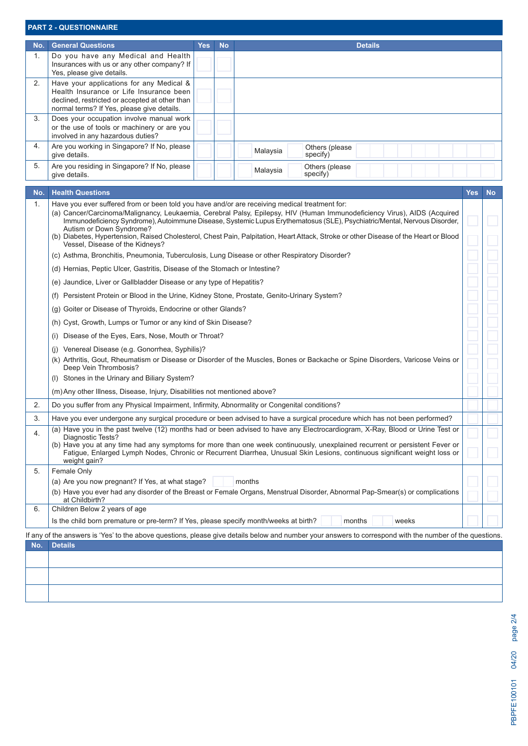| <b>PART 2 - QUESTIONNAIRE</b> |  |  |
|-------------------------------|--|--|
|                               |  |  |

| No.            | <b>General Questions</b>                                                                                                                                                            | Yes l | <b>No</b> | <b>Details</b>                          |
|----------------|-------------------------------------------------------------------------------------------------------------------------------------------------------------------------------------|-------|-----------|-----------------------------------------|
| 1.             | Do you have any Medical and Health<br>Insurances with us or any other company? If<br>Yes, please give details.                                                                      |       |           |                                         |
| 2.             | Have your applications for any Medical &<br>Health Insurance or Life Insurance been<br>declined, restricted or accepted at other than<br>normal terms? If Yes, please give details. |       |           |                                         |
| 3 <sub>1</sub> | Does your occupation involve manual work<br>or the use of tools or machinery or are you<br>involved in any hazardous duties?                                                        |       |           |                                         |
| 4.             | Are you working in Singapore? If No, please<br>give details.                                                                                                                        |       |           | Others (please)<br>Malaysia<br>specify) |
| 5.             | Are you residing in Singapore? If No, please<br>give details.                                                                                                                       |       |           | Others (please)<br>Malaysia<br>specify) |

| No. | <b>Health Questions</b>                                                                                                                                                                                                                                                                                                                                                            | Yes | <b>No</b> |
|-----|------------------------------------------------------------------------------------------------------------------------------------------------------------------------------------------------------------------------------------------------------------------------------------------------------------------------------------------------------------------------------------|-----|-----------|
| 1.  | Have you ever suffered from or been told you have and/or are receiving medical treatment for:<br>(a) Cancer/Carcinoma/Malignancy, Leukaemia, Cerebral Palsy, Epilepsy, HIV (Human Immunodeficiency Virus), AIDS (Acquired<br>Immunodeficiency Syndrome), Autoimmune Disease, Systemic Lupus Erythematosus (SLE), Psychiatric/Mental, Nervous Disorder,<br>Autism or Down Syndrome? |     |           |
|     | (b) Diabetes, Hypertension, Raised Cholesterol, Chest Pain, Palpitation, Heart Attack, Stroke or other Disease of the Heart or Blood<br>Vessel, Disease of the Kidneys?                                                                                                                                                                                                            |     |           |
|     | (c) Asthma, Bronchitis, Pneumonia, Tuberculosis, Lung Disease or other Respiratory Disorder?                                                                                                                                                                                                                                                                                       |     |           |
|     | (d) Hernias, Peptic Ulcer, Gastritis, Disease of the Stomach or Intestine?                                                                                                                                                                                                                                                                                                         |     |           |
|     | (e) Jaundice, Liver or Gallbladder Disease or any type of Hepatitis?                                                                                                                                                                                                                                                                                                               |     |           |
|     | (f) Persistent Protein or Blood in the Urine, Kidney Stone, Prostate, Genito-Urinary System?                                                                                                                                                                                                                                                                                       |     |           |
|     | (g) Goiter or Disease of Thyroids, Endocrine or other Glands?                                                                                                                                                                                                                                                                                                                      |     |           |
|     | (h) Cyst, Growth, Lumps or Tumor or any kind of Skin Disease?                                                                                                                                                                                                                                                                                                                      |     |           |
|     | Disease of the Eyes, Ears, Nose, Mouth or Throat?<br>(i)                                                                                                                                                                                                                                                                                                                           |     |           |
|     | (i) Venereal Disease (e.g. Gonorrhea, Syphilis)?                                                                                                                                                                                                                                                                                                                                   |     |           |
|     | (k) Arthritis, Gout, Rheumatism or Disease or Disorder of the Muscles, Bones or Backache or Spine Disorders, Varicose Veins or<br>Deep Vein Thrombosis?                                                                                                                                                                                                                            |     |           |
|     | (I) Stones in the Urinary and Biliary System?                                                                                                                                                                                                                                                                                                                                      |     |           |
|     | (m) Any other Illness, Disease, Injury, Disabilities not mentioned above?                                                                                                                                                                                                                                                                                                          |     |           |
| 2.  | Do you suffer from any Physical Impairment, Infirmity, Abnormality or Congenital conditions?                                                                                                                                                                                                                                                                                       |     |           |
| 3.  | Have you ever undergone any surgical procedure or been advised to have a surgical procedure which has not been performed?                                                                                                                                                                                                                                                          |     |           |
| 4.  | (a) Have you in the past twelve (12) months had or been advised to have any Electrocardiogram, X-Ray, Blood or Urine Test or<br>Diagnostic Tests?                                                                                                                                                                                                                                  |     |           |
|     | (b) Have you at any time had any symptoms for more than one week continuously, unexplained recurrent or persistent Fever or<br>Fatigue, Enlarged Lymph Nodes, Chronic or Recurrent Diarrhea, Unusual Skin Lesions, continuous significant weight loss or<br>weight gain?                                                                                                           |     |           |
| 5.  | Female Only                                                                                                                                                                                                                                                                                                                                                                        |     |           |
|     | (a) Are you now pregnant? If Yes, at what stage?<br>months                                                                                                                                                                                                                                                                                                                         |     |           |
|     | (b) Have you ever had any disorder of the Breast or Female Organs, Menstrual Disorder, Abnormal Pap-Smear(s) or complications<br>at Childbirth?                                                                                                                                                                                                                                    |     |           |
| 6.  | Children Below 2 years of age                                                                                                                                                                                                                                                                                                                                                      |     |           |
|     | Is the child born premature or pre-term? If Yes, please specify month/weeks at birth?<br>months<br>weeks                                                                                                                                                                                                                                                                           |     |           |
|     | If any of the answers is 'Yes' to the above questions, please give details below and number your answers to correspond with the number of the questions                                                                                                                                                                                                                            |     |           |
| No. | <b>Details</b>                                                                                                                                                                                                                                                                                                                                                                     |     |           |
|     |                                                                                                                                                                                                                                                                                                                                                                                    |     |           |
|     |                                                                                                                                                                                                                                                                                                                                                                                    |     |           |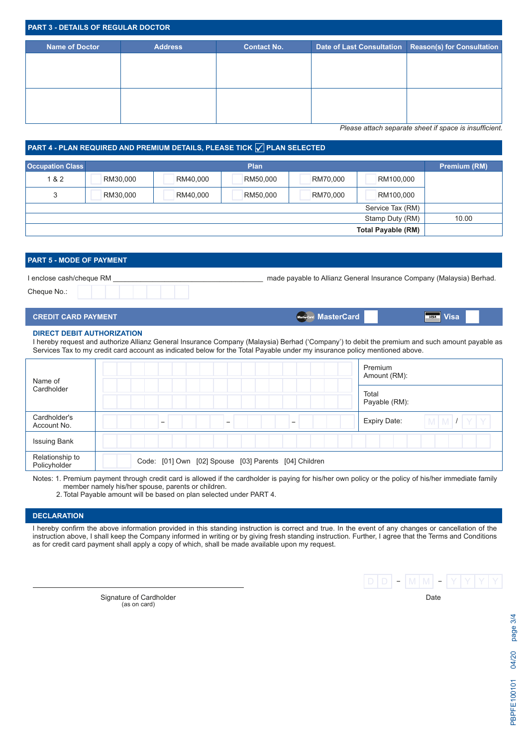| <b>PART 3 - DETAILS OF REGULAR DOCTOR</b> |                |                    |  |                                                      |  |  |  |  |
|-------------------------------------------|----------------|--------------------|--|------------------------------------------------------|--|--|--|--|
| Name of Doctor                            | <b>Address</b> | <b>Contact No.</b> |  | Date of Last Consultation Reason(s) for Consultation |  |  |  |  |
|                                           |                |                    |  |                                                      |  |  |  |  |
|                                           |                |                    |  |                                                      |  |  |  |  |
|                                           |                |                    |  |                                                      |  |  |  |  |
|                                           |                |                    |  |                                                      |  |  |  |  |

*Please attach separate sheet if space is insufficient.*

# PART 4 - PLAN REQUIRED AND PREMIUM DETAILS, PLEASE TICK <mark>√</mark> PLAN SELECTED

| <b>Occupation Class</b>  |          |          | <b>Plan</b> |          |                           | Premium (RM) |  |  |
|--------------------------|----------|----------|-------------|----------|---------------------------|--------------|--|--|
| 1 & 2                    | RM30,000 | RM40,000 | RM50,000    | RM70,000 | RM100,000                 |              |  |  |
| 3                        | RM30,000 | RM40,000 | RM50,000    | RM70,000 | RM100,000                 |              |  |  |
|                          |          |          |             |          | Service Tax (RM)          |              |  |  |
| Stamp Duty (RM)<br>10.00 |          |          |             |          |                           |              |  |  |
|                          |          |          |             |          | <b>Total Payable (RM)</b> |              |  |  |

# **PART 5 - MODE OF PAYMENT** I enclose cash/cheque RM \_\_\_\_\_\_\_\_\_\_\_\_\_\_\_\_\_\_\_\_\_\_\_\_\_\_\_\_\_\_\_\_\_\_\_\_\_\_ made payable to Allianz General Insurance Company (Malaysia) Berhad. Cheque No.:

| <b>CREDIT CARD PAYMENT</b> | <b>MasterCard.</b> MasterCard | <b>Visa</b><br><b>VISA</b> |
|----------------------------|-------------------------------|----------------------------|
|                            |                               |                            |

### **DIRECT DEBIT AUTHORIZATION**

I hereby request and authorize Allianz General Insurance Company (Malaysia) Berhad ('Company') to debit the premium and such amount payable as Services Tax to my credit card account as indicated below for the Total Payable under my insurance policy mentioned above.

| Name of                         |                                                       | Premium<br>Amount (RM):             |
|---------------------------------|-------------------------------------------------------|-------------------------------------|
| Cardholder                      |                                                       | Total<br>Payable (RM):              |
| Cardholder's<br>Account No.     | -<br>-<br>-                                           | $M$ $M$ $I$ $Y$ $Y$<br>Expiry Date: |
| <b>Issuing Bank</b>             |                                                       |                                     |
| Relationship to<br>Policyholder | Code: [01] Own [02] Spouse [03] Parents [04] Children |                                     |

Notes: 1. Premium payment through credit card is allowed if the cardholder is paying for his/her own policy or the policy of his/her immediate family member namely his/her spouse, parents or children.

2. Total Payable amount will be based on plan selected under PART 4.

## **DECLARATION**

I hereby confirm the above information provided in this standing instruction is correct and true. In the event of any changes or cancellation of the instruction above, I shall keep the Company informed in writing or by giving fresh standing instruction. Further, I agree that the Terms and Conditions as for credit card payment shall apply a copy of which, shall be made available upon my request.

> Signature of Cardholder **Date** (as on card)